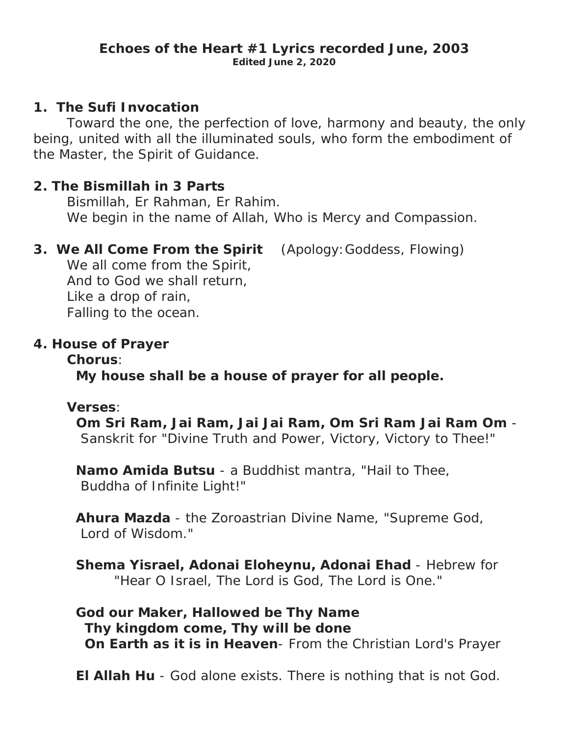#### **Echoes of the Heart #1 Lyrics recorded June, 2003 Edited June 2, 2020**

#### **1. The Sufi Invocation**

 Toward the one, the perfection of love, harmony and beauty, the only being, united with all the illuminated souls, who form the embodiment of the Master, the Spirit of Guidance.

#### **2. The Bismillah in 3 Parts**

 Bismillah, Er Rahman, Er Rahim. We begin in the name of Allah, Who is Mercy and Compassion.

## **3. We All Come From the Spirit** (Apology:Goddess, Flowing)

We all come from the Spirit, And to God we shall return, Like a drop of rain, Falling to the ocean.

## **4. House of Prayer**

#### **Chorus**:

 **My house shall be a house of prayer for all people.** 

#### **Verses**:

 **Om Sri Ram, Jai Ram, Jai Jai Ram, Om Sri Ram Jai Ram Om** - Sanskrit for "Divine Truth and Power, Victory, Victory to Thee!"

 **Namo Amida Butsu** - a Buddhist mantra, "Hail to Thee, Buddha of Infinite Light!"

 **Ahura Mazda** - the Zoroastrian Divine Name, "Supreme God, Lord of Wisdom."

 **Shema Yisrael, Adonai Eloheynu, Adonai Ehad** - Hebrew for "Hear O Israel, The Lord is God, The Lord is One."

 **God our Maker, Hallowed be Thy Name Thy kingdom come, Thy will be done On Earth as it is in Heaven**- From the Christian Lord's Prayer

 **El Allah Hu** - God alone exists. There is nothing that is not God.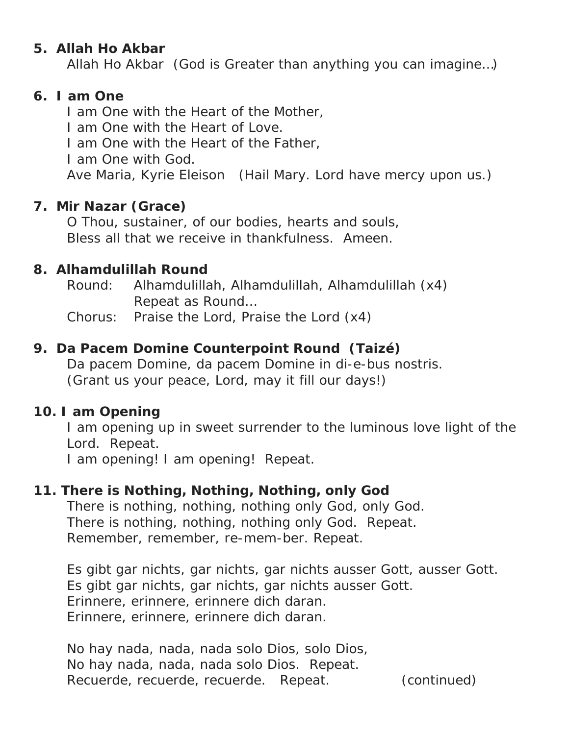## **5. Allah Ho Akbar**

Allah Ho Akbar (God is Greater than anything you can imagine…)

#### **6. I am One**

I am One with the Heart of the Mother,

I am One with the Heart of Love.

I am One with the Heart of the Father,

I am One with God.

Ave Maria, Kyrie Eleison (Hail Mary. Lord have mercy upon us.)

## **7. Mir Nazar (Grace)**

 O Thou, sustainer, of our bodies, hearts and souls, Bless all that we receive in thankfulness. Ameen.

## **8. Alhamdulillah Round**

 Round: Alhamdulillah, Alhamdulillah, Alhamdulillah (x4) Repeat as Round…

Chorus: Praise the Lord, Praise the Lord (x4)

## **9. Da Pacem Domine Counterpoint Round (Taizé)**

 Da pacem Domine, da pacem Domine in di-e-bus nostris. (Grant us your peace, Lord, may it fill our days!)

#### **10. I am Opening**

 I am opening up in sweet surrender to the luminous love light of the Lord. Repeat.

I am opening! I am opening! Repeat.

## **11. There is Nothing, Nothing, Nothing, only God**

 There is nothing, nothing, nothing only God, only God. There is nothing, nothing, nothing only God. Repeat. Remember, remember, re-mem-ber. Repeat.

 Es gibt gar nichts, gar nichts, gar nichts ausser Gott, ausser Gott. Es gibt gar nichts, gar nichts, gar nichts ausser Gott. Erinnere, erinnere, erinnere dich daran. Erinnere, erinnere, erinnere dich daran.

 No hay nada, nada, nada solo Dios, solo Dios, No hay nada, nada, nada solo Dios. Repeat. Recuerde, recuerde, recuerde. Repeat. (continued)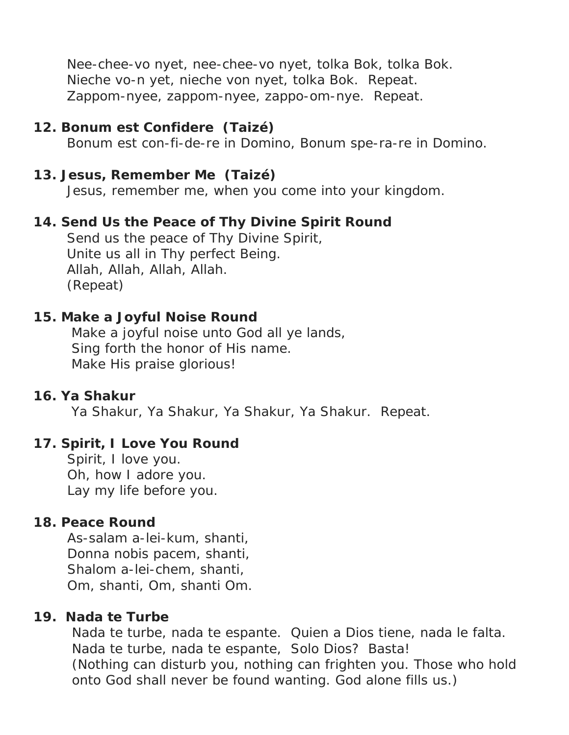Nee-chee-vo nyet, nee-chee-vo nyet, tolka Bok, tolka Bok. Nieche vo-n yet, nieche von nyet, tolka Bok. Repeat. Zappom-nyee, zappom-nyee, zappo-om-nye. Repeat.

#### **12. Bonum est Confidere (Taizé)**

Bonum est con-fi-de-re in Domino, Bonum spe-ra-re in Domino.

#### **13. Jesus, Remember Me (Taizé)**

Jesus, remember me, when you come into your kingdom.

## **14. Send Us the Peace of Thy Divine Spirit Round**

 Send us the peace of Thy Divine Spirit, Unite us all in Thy perfect Being. Allah, Allah, Allah, Allah. (Repeat)

#### **15. Make a Joyful Noise Round**

 Make a joyful noise unto God all ye lands, Sing forth the honor of His name. Make His praise glorious!

#### **16. Ya Shakur**

Ya Shakur, Ya Shakur, Ya Shakur, Ya Shakur. Repeat.

#### **17. Spirit, I Love You Round**

Spirit, I love you. Oh, how I adore you. Lay my life before you.

#### **18. Peace Round**

 As-salam a-lei-kum, shanti, Donna nobis pacem, shanti, Shalom a-lei-chem, shanti, Om, shanti, Om, shanti Om.

#### **19. Nada te Turbe**

 Nada te turbe, nada te espante. Quien a Dios tiene, nada le falta. Nada te turbe, nada te espante, Solo Dios? Basta! (Nothing can disturb you, nothing can frighten you. Those who hold onto God shall never be found wanting. God alone fills us.)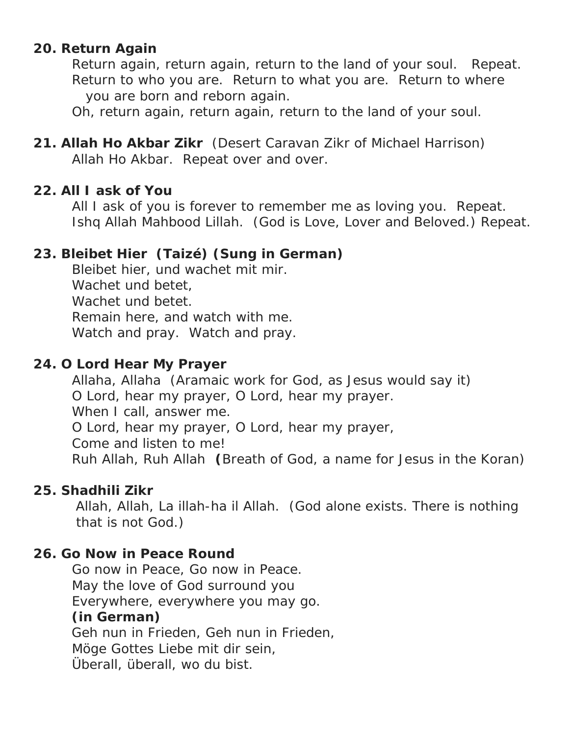## **20. Return Again**

 Return again, return again, return to the land of your soul. Repeat. Return to who you are. Return to what you are. Return to where you are born and reborn again.

Oh, return again, return again, return to the land of your soul.

**21. Allah Ho Akbar Zikr** (Desert Caravan Zikr of Michael Harrison) Allah Ho Akbar. Repeat over and over.

## **22. All I ask of You**

 All I ask of you is forever to remember me as loving you. Repeat. Ishq Allah Mahbood Lillah. (God is Love, Lover and Beloved.) Repeat.

# **23. Bleibet Hier (Taizé) (Sung in German)**

 Bleibet hier, und wachet mit mir. Wachet und betet, Wachet und betet. Remain here, and watch with me. Watch and pray. Watch and pray.

## **24. O Lord Hear My Prayer**

 Allaha, Allaha (Aramaic work for God, as Jesus would say it) O Lord, hear my prayer, O Lord, hear my prayer. When I call, answer me. O Lord, hear my prayer, O Lord, hear my prayer, Come and listen to me! Ruh Allah, Ruh Allah **(**Breath of God, a name for Jesus in the Koran)

## **25. Shadhili Zikr**

Allah, Allah, La illah-ha il Allah. (God alone exists. There is nothing that is not God.)

## **26. Go Now in Peace Round**

 Go now in Peace, Go now in Peace. May the love of God surround you Everywhere, everywhere you may go. **(in German)** Geh nun in Frieden, Geh nun in Frieden, Möge Gottes Liebe mit dir sein, Überall, überall, wo du bist.